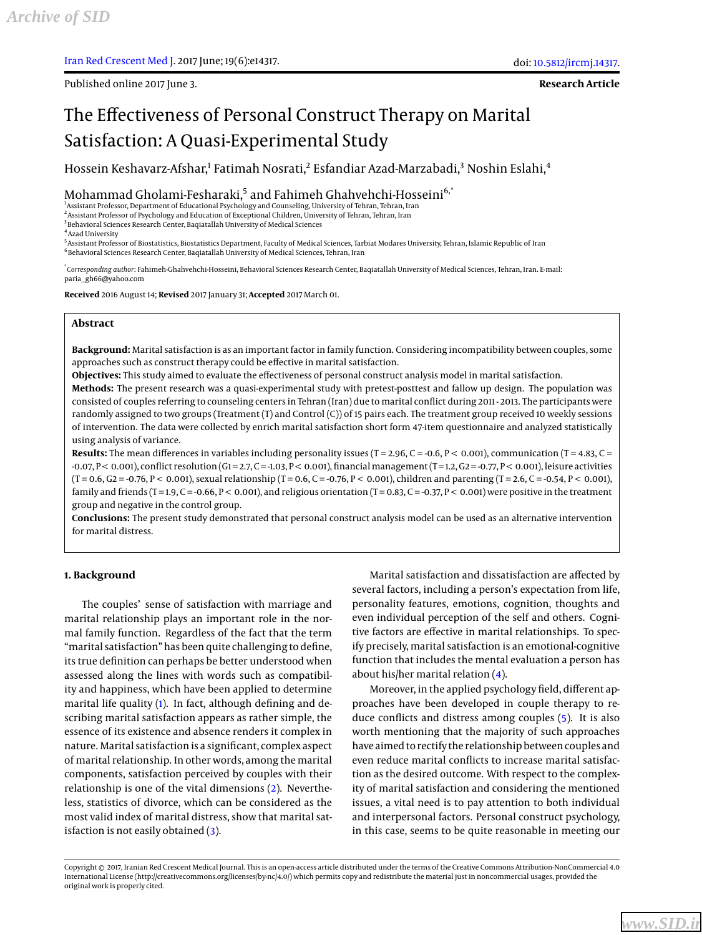Published online 2017 June 3.

**Research Article**

# The Effectiveness of Personal Construct Therapy on Marital Satisfaction: A Quasi-Experimental Study

Hossein Keshavarz-Afshar,<sup>1</sup> Fatimah Nosrati,<sup>2</sup> Esfandiar Azad-Marzabadi,<sup>3</sup> Noshin Eslahi,<sup>4</sup>

Mohammad Gholami-Fesharaki,<sup>5</sup> and Fahimeh Ghahvehchi-Hosseini<sup>6,\*</sup>

<sup>1</sup>Assistant Professor, Department of Educational Psychology and Counseling, University of Tehran, Tehran, Iran

2 Assistant Professor of Psychology and Education of Exceptional Children, University of Tehran, Tehran, Iran

<sup>3</sup> Behavioral Sciences Research Center, Baqiatallah University of Medical Sciences

4 Azad University

5 Assistant Professor of Biostatistics, Biostatistics Department, Faculty of Medical Sciences, Tarbiat Modares University, Tehran, Islamic Republic of Iran 6 Behavioral Sciences Research Center, Baqiatallah University of Medical Sciences, Tehran, Iran

\* *Corresponding author*: Fahimeh-Ghahvehchi-Hosseini, Behavioral Sciences Research Center, Baqiatallah University of Medical Sciences, Tehran, Iran. E-mail: paria\_gh66@yahoo.com

**Received** 2016 August 14; **Revised** 2017 January 31; **Accepted** 2017 March 01.

## **Abstract**

**Background:** Marital satisfaction is as an important factor in family function. Considering incompatibility between couples, some approaches such as construct therapy could be effective in marital satisfaction.

**Objectives:** This study aimed to evaluate the effectiveness of personal construct analysis model in marital satisfaction.

**Methods:** The present research was a quasi-experimental study with pretest-posttest and fallow up design. The population was consisted of couples referring to counseling centers in Tehran (Iran) due to marital conflict during 2011 - 2013. The participants were randomly assigned to two groups (Treatment (T) and Control (C)) of 15 pairs each. The treatment group received 10 weekly sessions of intervention. The data were collected by enrich marital satisfaction short form 47-item questionnaire and analyzed statistically using analysis of variance.

**Results:** The mean differences in variables including personality issues (T = 2.96, C = -0.6, P < 0.001), communication (T = 4.83, C =  $-0.07$ , P < 0.001), conflict resolution (G1=2.7, C = -1.03, P < 0.001), financial management (T = 1.2, G2 = -0.77, P < 0.001), leisure activities  $(T = 0.6, G2 = -0.76, P < 0.001)$ , sexual relationship  $(T = 0.6, C = -0.76, P < 0.001)$ , children and parenting  $(T = 2.6, C = -0.54, P < 0.001)$ , family and friends (T=1.9, C=-0.66, P < 0.001), and religious orientation (T=0.83, C=-0.37, P < 0.001) were positive in the treatment group and negative in the control group.

**Conclusions:** The present study demonstrated that personal construct analysis model can be used as an alternative intervention for marital distress.

# **1. Background**

The couples' sense of satisfaction with marriage and marital relationship plays an important role in the normal family function. Regardless of the fact that the term "marital satisfaction" has been quite challenging to define, its true definition can perhaps be better understood when assessed along the lines with words such as compatibility and happiness, which have been applied to determine marital life quality [\(1\)](#page-5-0). In fact, although defining and describing marital satisfaction appears as rather simple, the essence of its existence and absence renders it complex in nature. Marital satisfaction is a significant, complex aspect of marital relationship. In other words, among the marital components, satisfaction perceived by couples with their relationship is one of the vital dimensions [\(2\)](#page-5-1). Nevertheless, statistics of divorce, which can be considered as the most valid index of marital distress, show that marital satisfaction is not easily obtained  $(3)$ .

Marital satisfaction and dissatisfaction are affected by several factors, including a person's expectation from life, personality features, emotions, cognition, thoughts and even individual perception of the self and others. Cognitive factors are effective in marital relationships. To specify precisely, marital satisfaction is an emotional-cognitive function that includes the mental evaluation a person has about his/her marital relation [\(4\)](#page-5-3).

Moreover, in the applied psychology field, different approaches have been developed in couple therapy to reduce conflicts and distress among couples [\(5\)](#page-5-4). It is also worth mentioning that the majority of such approaches have aimed to rectify the relationship between couples and even reduce marital conflicts to increase marital satisfaction as the desired outcome. With respect to the complexity of marital satisfaction and considering the mentioned issues, a vital need is to pay attention to both individual and interpersonal factors. Personal construct psychology, in this case, seems to be quite reasonable in meeting our

Copyright © 2017, Iranian Red Crescent Medical Journal. This is an open-access article distributed under the terms of the Creative Commons Attribution-NonCommercial 4.0 International License (http://creativecommons.org/licenses/by-nc/4.0/) which permits copy and redistribute the material just in noncommercial usages, provided the original work is properly cited.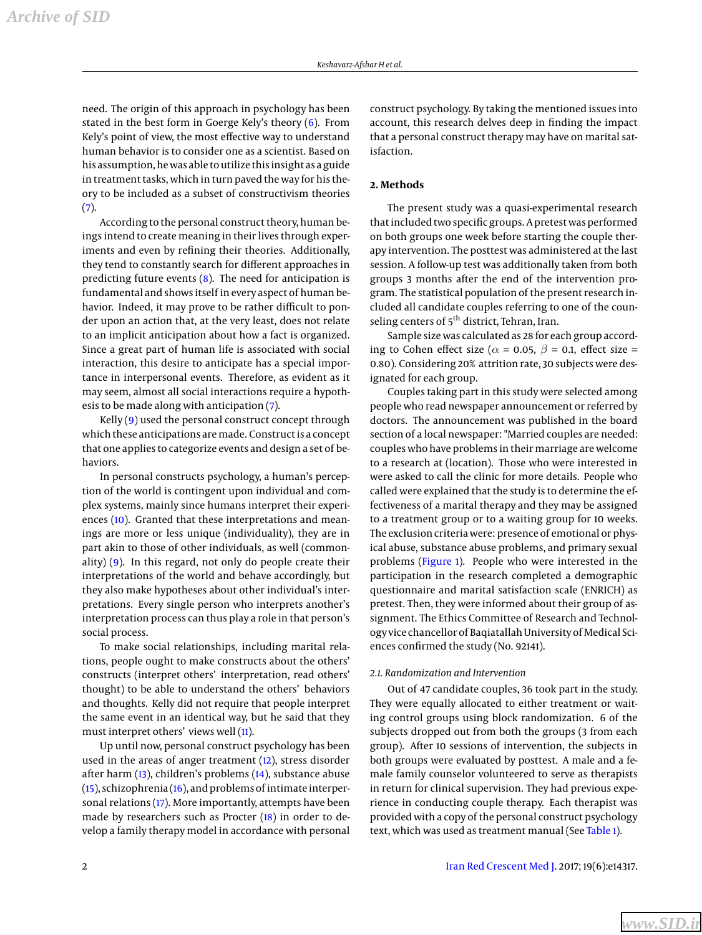need. The origin of this approach in psychology has been stated in the best form in Goerge Kely's theory [\(6\)](#page-5-5). From Kely's point of view, the most effective way to understand human behavior is to consider one as a scientist. Based on his assumption, he was able to utilize this insight as a guide in treatment tasks, which in turn paved the way for his theory to be included as a subset of constructivism theories [\(7\)](#page-5-6).

According to the personal construct theory, human beings intend to create meaning in their lives through experiments and even by refining their theories. Additionally, they tend to constantly search for different approaches in predicting future events  $(8)$ . The need for anticipation is fundamental and shows itself in every aspect of human behavior. Indeed, it may prove to be rather difficult to ponder upon an action that, at the very least, does not relate to an implicit anticipation about how a fact is organized. Since a great part of human life is associated with social interaction, this desire to anticipate has a special importance in interpersonal events. Therefore, as evident as it may seem, almost all social interactions require a hypothesis to be made along with anticipation [\(7\)](#page-5-6).

Kelly  $(9)$  used the personal construct concept through which these anticipations are made. Construct is a concept that one applies to categorize events and design a set of behaviors.

In personal constructs psychology, a human's perception of the world is contingent upon individual and complex systems, mainly since humans interpret their experi-ences [\(10\)](#page-6-0). Granted that these interpretations and meanings are more or less unique (individuality), they are in part akin to those of other individuals, as well (commonality) [\(9\)](#page-5-8). In this regard, not only do people create their interpretations of the world and behave accordingly, but they also make hypotheses about other individual's interpretations. Every single person who interprets another's interpretation process can thus play a role in that person's social process.

To make social relationships, including marital relations, people ought to make constructs about the others' constructs (interpret others' interpretation, read others' thought) to be able to understand the others' behaviors and thoughts. Kelly did not require that people interpret the same event in an identical way, but he said that they must interpret others' views well [\(11\)](#page-6-1).

Up until now, personal construct psychology has been used in the areas of anger treatment [\(12\)](#page-6-2), stress disorder after harm [\(13\)](#page-6-3), children's problems [\(14\)](#page-6-4), substance abuse [\(15\)](#page-6-5), schizophrenia [\(16\)](#page-6-6), and problems of intimate interpersonal relations [\(17\)](#page-6-7). More importantly, attempts have been made by researchers such as Procter [\(18\)](#page-6-8) in order to develop a family therapy model in accordance with personal

construct psychology. By taking the mentioned issues into account, this research delves deep in finding the impact that a personal construct therapy may have on marital satisfaction.

# **2. Methods**

The present study was a quasi-experimental research that included two specific groups. A pretest was performed on both groups one week before starting the couple therapy intervention. The posttest was administered at the last session. A follow-up test was additionally taken from both groups 3 months after the end of the intervention program. The statistical population of the present research included all candidate couples referring to one of the counseling centers of 5<sup>th</sup> district, Tehran, Iran.

Sample size was calculated as 28 for each group according to Cohen effect size ( $\alpha$  = 0.05,  $\beta$  = 0.1, effect size = 0.80). Considering 20% attrition rate, 30 subjects were designated for each group.

Couples taking part in this study were selected among people who read newspaper announcement or referred by doctors. The announcement was published in the board section of a local newspaper: "Married couples are needed: couples who have problems in their marriage are welcome to a research at (location). Those who were interested in were asked to call the clinic for more details. People who called were explained that the study is to determine the effectiveness of a marital therapy and they may be assigned to a treatment group or to a waiting group for 10 weeks. The exclusion criteria were: presence of emotional or physical abuse, substance abuse problems, and primary sexual problems [\(Figure 1\)](#page-2-0). People who were interested in the participation in the research completed a demographic questionnaire and marital satisfaction scale (ENRICH) as pretest. Then, they were informed about their group of assignment. The Ethics Committee of Research and Technology vice chancellor of Baqiatallah University of Medical Sciences confirmed the study (No. 92141).

## *2.1. Randomization and Intervention*

Out of 47 candidate couples, 36 took part in the study. They were equally allocated to either treatment or waiting control groups using block randomization. 6 of the subjects dropped out from both the groups (3 from each group). After 10 sessions of intervention, the subjects in both groups were evaluated by posttest. A male and a female family counselor volunteered to serve as therapists in return for clinical supervision. They had previous experience in conducting couple therapy. Each therapist was provided with a copy of the personal construct psychology text, which was used as treatment manual (See [Table 1\)](#page-3-0).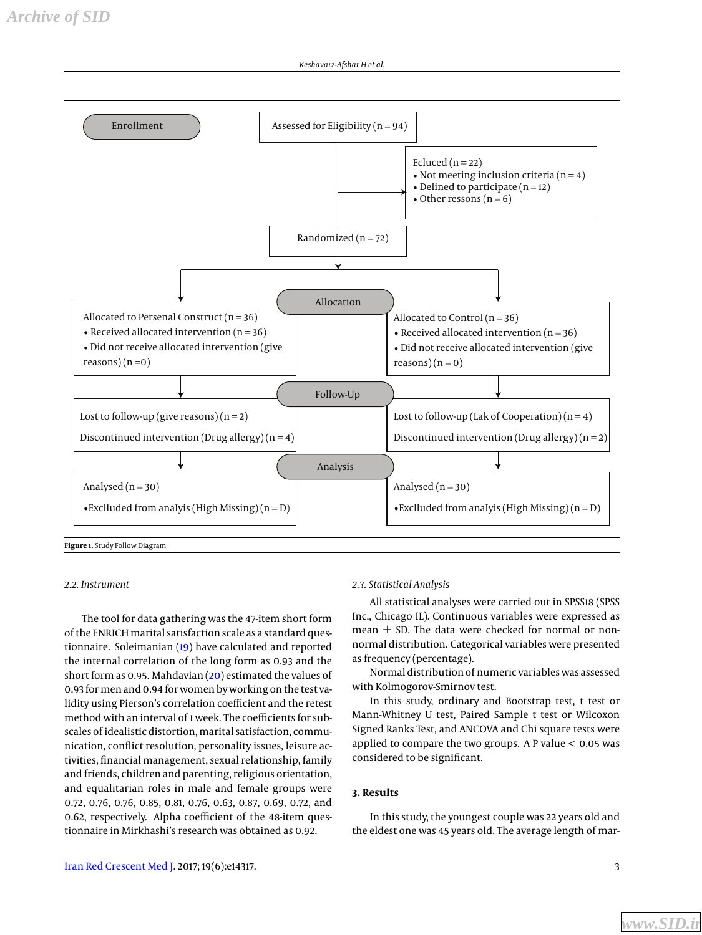<span id="page-2-0"></span>

**Figure 1.** Study Follow Diagram

## *2.2. Instrument*

The tool for data gathering was the 47-item short form of the ENRICH marital satisfaction scale as a standard questionnaire. Soleimanian [\(19\)](#page-6-9) have calculated and reported the internal correlation of the long form as 0.93 and the short form as 0.95. Mahdavian [\(20\)](#page-6-10) estimated the values of 0.93 for men and 0.94 for women by working on the test validity using Pierson's correlation coefficient and the retest method with an interval of 1 week. The coefficients for subscales of idealistic distortion, marital satisfaction, communication, conflict resolution, personality issues, leisure activities, financial management, sexual relationship, family and friends, children and parenting, religious orientation, and equalitarian roles in male and female groups were 0.72, 0.76, 0.76, 0.85, 0.81, 0.76, 0.63, 0.87, 0.69, 0.72, and 0.62, respectively. Alpha coefficient of the 48-item questionnaire in Mirkhashi's research was obtained as 0.92.

## *2.3. Statistical Analysis*

All statistical analyses were carried out in SPSS18 (SPSS Inc., Chicago IL). Continuous variables were expressed as mean  $\pm$  SD. The data were checked for normal or nonnormal distribution. Categorical variables were presented as frequency (percentage).

Normal distribution of numeric variables was assessed with Kolmogorov-Smirnov test.

In this study, ordinary and Bootstrap test, t test or Mann-Whitney U test, Paired Sample t test or Wilcoxon Signed Ranks Test, and ANCOVA and Chi square tests were applied to compare the two groups. A P value < 0.05 was considered to be significant.

# **3. Results**

In this study, the youngest couple was 22 years old and the eldest one was 45 years old. The average length of mar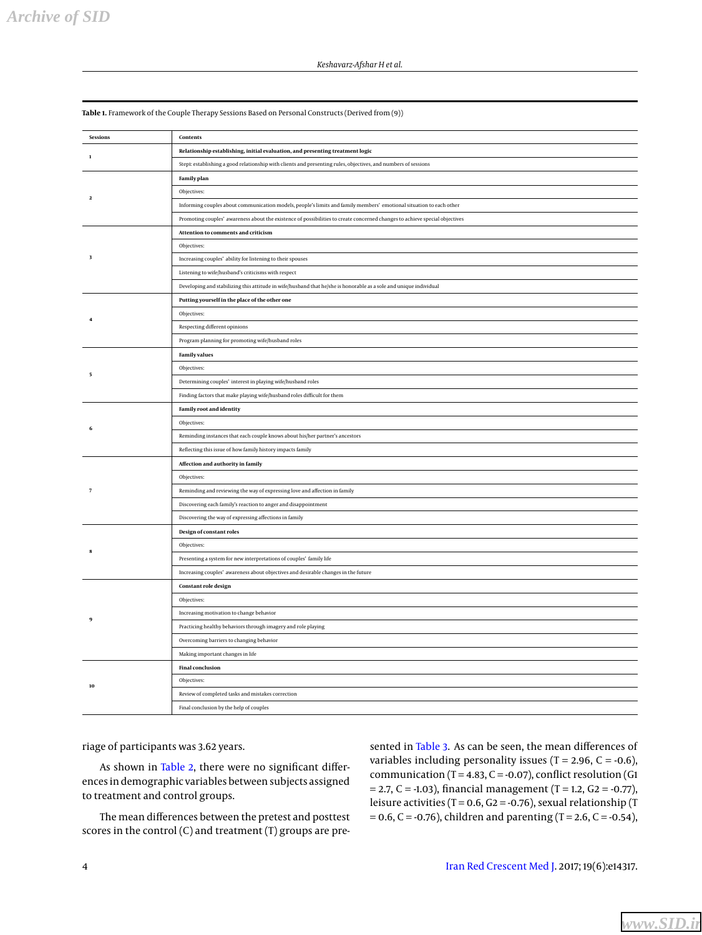*Archive of SID*

| <b>Sessions</b>     | Contents                                                                                                                    |
|---------------------|-----------------------------------------------------------------------------------------------------------------------------|
| $\mathbf{1}$        | Relationship establishing, initial evaluation, and presenting treatment logic                                               |
|                     | Step1: establishing a good relationship with clients and presenting rules, objectives, and numbers of sessions              |
| $\mathbf 2$         | <b>Family plan</b>                                                                                                          |
|                     | Objectives:                                                                                                                 |
|                     | Informing couples about communication models, people's limits and family members' emotional situation to each other         |
|                     | Promoting couples' awareness about the existence of possibilities to create concerned changes to achieve special objectives |
|                     | Attention to comments and criticism                                                                                         |
| $\sqrt{3}$          | Objectives:                                                                                                                 |
|                     | Increasing couples' ability for listening to their spouses                                                                  |
|                     | Listening to wife/husband's criticisms with respect                                                                         |
|                     | Developing and stabilizing this attitude in wife/husband that he/she is honorable as a sole and unique individual           |
|                     | Putting yourself in the place of the other one                                                                              |
| $\overline{4}$      | Objectives:                                                                                                                 |
|                     | Respecting different opinions                                                                                               |
|                     | Program planning for promoting wife/husband roles                                                                           |
| 5                   | <b>Family values</b>                                                                                                        |
|                     | Objectives:                                                                                                                 |
|                     | Determining couples' interest in playing wife/husband roles                                                                 |
|                     | Finding factors that make playing wife/husband roles difficult for them                                                     |
|                     | <b>Family root and identity</b>                                                                                             |
| 6                   | Objectives:                                                                                                                 |
|                     | Reminding instances that each couple knows about his/her partner's ancestors                                                |
|                     | Reflecting this issue of how family history impacts family                                                                  |
|                     | Affection and authority in family                                                                                           |
|                     | Objectives:                                                                                                                 |
| $\scriptstyle\rm 7$ | Reminding and reviewing the way of expressing love and affection in family                                                  |
|                     | Discovering each family's reaction to anger and disappointment                                                              |
|                     | Discovering the way of expressing affections in family                                                                      |
|                     | Design of constant roles                                                                                                    |
| $\mathbf{g}$        | Objectives:                                                                                                                 |
|                     | Presenting a system for new interpretations of couples' family life                                                         |
|                     | Increasing couples' awareness about objectives and desirable changes in the future                                          |
|                     | Constant role design                                                                                                        |
|                     | Objectives:                                                                                                                 |
|                     | Increasing motivation to change behavior                                                                                    |
|                     | Practicing healthy behaviors through imagery and role playing                                                               |
|                     | Overcoming barriers to changing behavior                                                                                    |
|                     | Making important changes in life                                                                                            |
| 10                  | <b>Final conclusion</b>                                                                                                     |
|                     | Objectives:                                                                                                                 |
|                     | Review of completed tasks and mistakes correction                                                                           |
|                     | Final conclusion by the help of couples                                                                                     |

<span id="page-3-0"></span>**Table 1.** Framework of the Couple Therapy Sessions Based on Personal Constructs (Derived from (9))

riage of participants was 3.62 years.

As shown in [Table 2,](#page-4-0) there were no significant differences in demographic variables between subjects assigned to treatment and control groups.

The mean differences between the pretest and posttest scores in the control (C) and treatment (T) groups are pre-

sented in [Table 3.](#page-5-9) As can be seen, the mean differences of variables including personality issues (T = 2.96, C = -0.6), communication (T =  $4.83$ , C =  $-0.07$ ), conflict resolution (G1  $= 2.7, C = -1.03$ ), financial management (T = 1.2, G2 = -0.77), leisure activities (T =  $0.6$ , G2 =  $-0.76$ ), sexual relationship (T  $= 0.6$ , C = -0.76), children and parenting (T = 2.6, C = -0.54),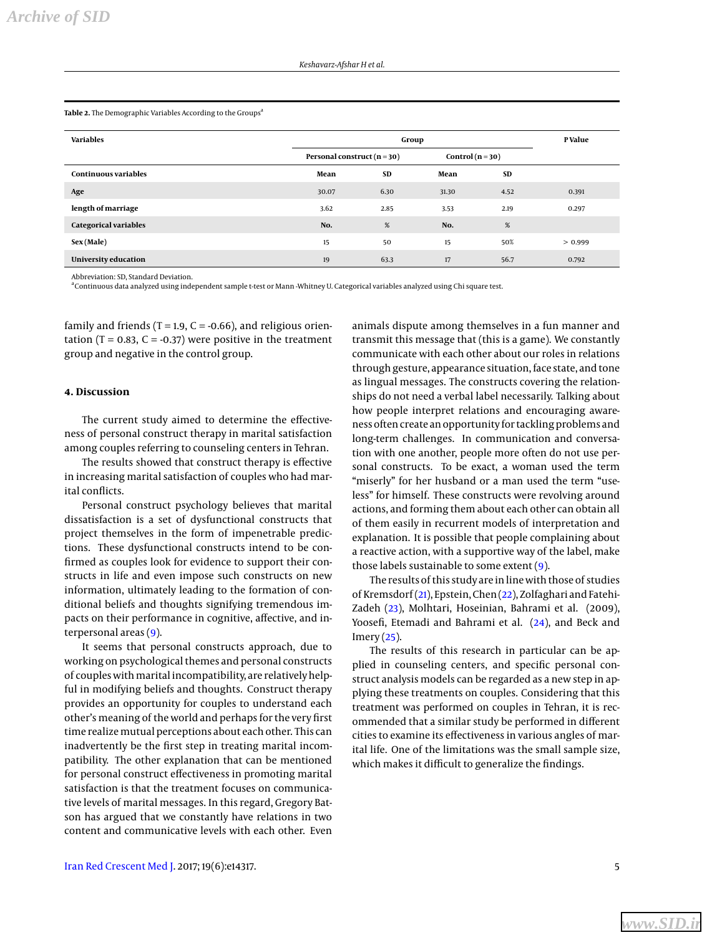#### <span id="page-4-0"></span>Table 2. The Demographic Variables According to the Groups<sup>a</sup>

| <b>Variables</b>             |                                 | P Value   |                  |      |         |
|------------------------------|---------------------------------|-----------|------------------|------|---------|
|                              | Personal construct ( $n = 30$ ) |           | Control $(n=30)$ |      |         |
| <b>Continuous variables</b>  | Mean                            | <b>SD</b> | Mean             | SD   |         |
| Age                          | 30.07                           | 6.30      | 31.30            | 4.52 | 0.391   |
| length of marriage           | 3.62                            | 2.85      | 3.53             | 2.19 | 0.297   |
| <b>Categorical variables</b> | No.                             | %         | No.              | %    |         |
| Sex (Male)                   | 15                              | 50        | 15               | 50%  | > 0.999 |
| University education         | 19                              | 63.3      | 17               | 56.7 | 0.792   |

Abbreviation: SD, Standard Deviation.

aContinuous data analyzed using independent sample t-test or Mann -Whitney U. Categorical variables analyzed using Chi square test.

family and friends (T = 1.9, C = -0.66), and religious orientation (T =  $0.83$ , C =  $-0.37$ ) were positive in the treatment group and negative in the control group.

# **4. Discussion**

The current study aimed to determine the effectiveness of personal construct therapy in marital satisfaction among couples referring to counseling centers in Tehran.

The results showed that construct therapy is effective in increasing marital satisfaction of couples who had marital conflicts.

Personal construct psychology believes that marital dissatisfaction is a set of dysfunctional constructs that project themselves in the form of impenetrable predictions. These dysfunctional constructs intend to be confirmed as couples look for evidence to support their constructs in life and even impose such constructs on new information, ultimately leading to the formation of conditional beliefs and thoughts signifying tremendous impacts on their performance in cognitive, affective, and interpersonal areas [\(9\)](#page-5-8).

It seems that personal constructs approach, due to working on psychological themes and personal constructs of couples with marital incompatibility, are relatively helpful in modifying beliefs and thoughts. Construct therapy provides an opportunity for couples to understand each other's meaning of the world and perhaps for the very first time realize mutual perceptions about each other. This can inadvertently be the first step in treating marital incompatibility. The other explanation that can be mentioned for personal construct effectiveness in promoting marital satisfaction is that the treatment focuses on communicative levels of marital messages. In this regard, Gregory Batson has argued that we constantly have relations in two content and communicative levels with each other. Even

animals dispute among themselves in a fun manner and transmit this message that (this is a game). We constantly communicate with each other about our roles in relations through gesture, appearance situation, face state, and tone as lingual messages. The constructs covering the relationships do not need a verbal label necessarily. Talking about how people interpret relations and encouraging awareness often create an opportunity for tackling problems and long-term challenges. In communication and conversation with one another, people more often do not use personal constructs. To be exact, a woman used the term "miserly" for her husband or a man used the term "useless" for himself. These constructs were revolving around actions, and forming them about each other can obtain all of them easily in recurrent models of interpretation and explanation. It is possible that people complaining about a reactive action, with a supportive way of the label, make those labels sustainable to some extent [\(9\)](#page-5-8).

The results of this study are in line with those of studies of Kremsdorf [\(21\)](#page-6-11), Epstein, Chen [\(22\)](#page-6-12), Zolfaghari and Fatehi-Zadeh [\(23\)](#page-6-13), Molhtari, Hoseinian, Bahrami et al. (2009), Yoosefi, Etemadi and Bahrami et al. [\(24\)](#page-6-14), and Beck and  $Imery(25)$  $Imery(25)$ .

The results of this research in particular can be applied in counseling centers, and specific personal construct analysis models can be regarded as a new step in applying these treatments on couples. Considering that this treatment was performed on couples in Tehran, it is recommended that a similar study be performed in different cities to examine its effectiveness in various angles of marital life. One of the limitations was the small sample size, which makes it difficult to generalize the findings.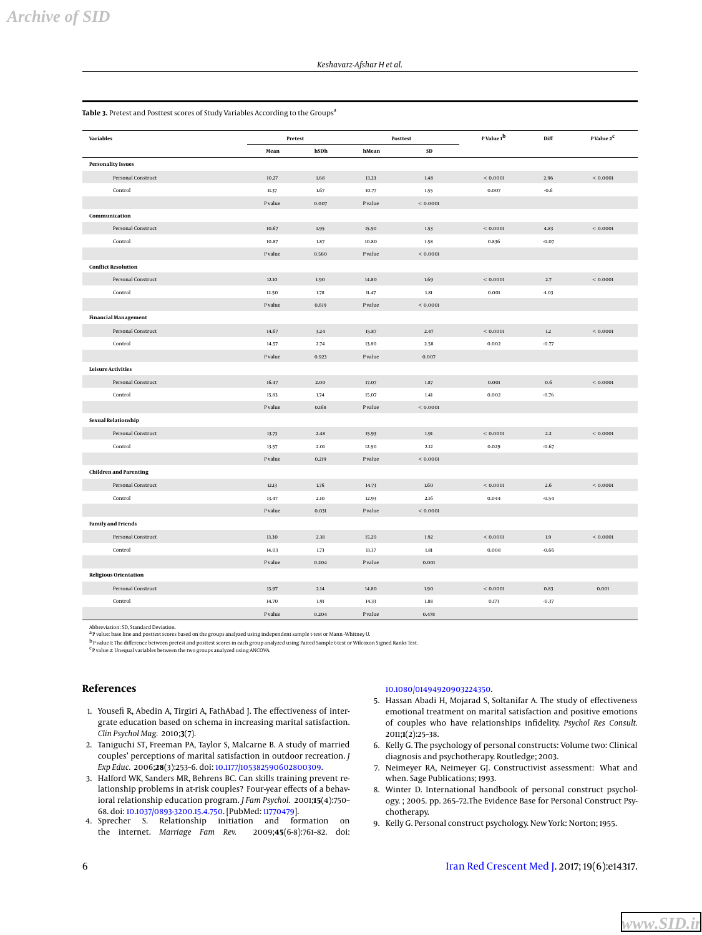#### <span id="page-5-9"></span>Table 3. Pretest and Posttest scores of Study Variables According to the Groups<sup>a</sup>

| <b>Variables</b> |                               | Pretest |       | Posttest |            | P Value 1 <sup>b</sup> | Diff    | P Value 2 <sup>C</sup> |
|------------------|-------------------------------|---------|-------|----------|------------|------------------------|---------|------------------------|
|                  |                               | Mean    | hSDh  | hMean    | ${\bf SD}$ |                        |         |                        |
|                  | <b>Personality Issues</b>     |         |       |          |            |                        |         |                        |
|                  | Personal Construct            | 10.27   | 1.68  | 13.23    | $1.48\,$   | < 0.0001               | 2.96    | < 0.0001               |
|                  | Control                       | 11.37   | 1.67  | 10.77    | 1.55       | 0.007                  | $-0.6$  |                        |
|                  |                               | P value | 0.007 | P value  | < 0.0001   |                        |         |                        |
|                  | Communication                 |         |       |          |            |                        |         |                        |
|                  | Personal Construct            | 10.67   | 1.95  | 15.50    | 1.53       | < 0.0001               | 4.83    | < 0.0001               |
|                  | Control                       | 10.87   | 1.87  | 10.80    | 1.58       | 0.836                  | $-0.07$ |                        |
|                  |                               | P value | 0.560 | P value  | < 0.0001   |                        |         |                        |
|                  | <b>Conflict Resolution</b>    |         |       |          |            |                        |         |                        |
|                  | Personal Construct            | 12.10   | 1.90  | 14.80    | 1.69       | < 0.0001               | 2.7     | < 0.0001               |
|                  | Control                       | 12.50   | 1.78  | 11.47    | 1.81       | 0.001                  | $-1.03$ |                        |
|                  |                               | P value | 0.619 | P value  | < 0.0001   |                        |         |                        |
|                  | <b>Financial Management</b>   |         |       |          |            |                        |         |                        |
|                  | Personal Construct            | 14.67   | 3.24  | 15.87    | 2.47       | ${}< 0.0001$           | $1.2\,$ | < 0.0001               |
|                  | Control                       | 14.57   | 2.74  | 13.80    | 2.58       | 0.002                  | $-0.77$ |                        |
|                  |                               | P value | 0.923 | P value  | 0.007      |                        |         |                        |
|                  | <b>Leisure Activities</b>     |         |       |          |            |                        |         |                        |
|                  | Personal Construct            | 16.47   | 2.00  | 17.07    | 1.87       | 0.001                  | 0.6     | < 0.0001               |
|                  | Control                       | 15.83   | 1.74  | 15.07    | 1.41       | 0.002                  | $-0.76$ |                        |
|                  |                               | P value | 0.168 | P value  | < 0.0001   |                        |         |                        |
|                  | Sexual Relationship           |         |       |          |            |                        |         |                        |
|                  | Personal Construct            | 13.73   | 2.48  | 15.93    | 1.91       | < 0.0001               | 2.2     | < 0.0001               |
|                  | Control                       | 13.57   | 2.01  | 12.90    | 2.12       | 0.029                  | $-0.67$ |                        |
|                  |                               | P value | 0.219 | P value  | < 0.0001   |                        |         |                        |
|                  | <b>Children and Parenting</b> |         |       |          |            |                        |         |                        |
|                  | Personal Construct            | 12.13   | 1.76  | 14.73    | $1.60\,$   | < 0.0001               | $2.6\,$ | < 0.0001               |
|                  | Control                       | 13.47   | 2.10  | 12.93    | 2.16       | 0.044                  | $-0.54$ |                        |
|                  |                               | P value | 0.031 | P value  | < 0.0001   |                        |         |                        |
|                  | <b>Family and Friends</b>     |         |       |          |            |                        |         |                        |
|                  | Personal Construct            | 13.30   | 2.38  | 15.20    | 1.92       | < 0.0001               | $1.9\,$ | < 0.0001               |
|                  | Control                       | 14.03   | 1.73  | 13.37    | 1.81       | 0.008                  | $-0.66$ |                        |
|                  |                               | P value | 0.204 | P value  | 0.001      |                        |         |                        |
|                  | <b>Religious Orientation</b>  |         |       |          |            |                        |         |                        |
|                  | Personal Construct            | 13.97   | 2.14  | 14.80    | 1.90       | < 0.0001               | 0.83    | 0.001                  |
|                  | Control                       | 14.70   | 1.91  | 14.33    | 1.88       | 0.173                  | $-0.37$ |                        |
|                  |                               | P value | 0.204 | P value  | 0.478      |                        |         |                        |

Abbreviation: SD, Standard Deviation.<br><sup>a</sup> P value: base line and posttest scores based on the groups analyzed using independent sample t-test or Mann -Whitney U.

<sup>b</sup> P value 1: The difference between pretest and posttest scores in each group analyzed using Paired Sample t-test or Wilcoxon Signed Ranks Test.<br><sup>C</sup> Pvalue 2: Unequal variables between the two groups analyzed using ANCOV

# **References**

- <span id="page-5-0"></span>1. Yousefi R, Abedin A, Tirgiri A, FathAbad J. The effectiveness of intergrate education based on schema in increasing marital satisfaction. *Clin Psychol Mag.* 2010;**3**(7).
- <span id="page-5-1"></span>2. Taniguchi ST, Freeman PA, Taylor S, Malcarne B. A study of married couples' perceptions of marital satisfaction in outdoor recreation. *J Exp Educ.* 2006;**28**(3):253–6. doi: [10.1177/105382590602800309.](http://dx.doi.org/10.1177/105382590602800309)
- <span id="page-5-2"></span>3. Halford WK, Sanders MR, Behrens BC. Can skills training prevent relationship problems in at-risk couples? Four-year effects of a behavioral relationship education program. *J Fam Psychol.* 2001;**15**(4):750– 68. doi: [10.1037/0893-3200.15.4.750.](http://dx.doi.org/10.1037/0893-3200.15.4.750) [PubMed: [11770479\]](http://www.ncbi.nlm.nih.gov/pubmed/11770479).
- <span id="page-5-3"></span>4. Sprecher S. Relationship initiation and formation on the internet. *Marriage Fam Rev.* 2009;**45**(6-8):761–82. doi:

## [10.1080/01494920903224350.](http://dx.doi.org/10.1080/01494920903224350)

- <span id="page-5-4"></span>5. Hassan Abadi H, Mojarad S, Soltanifar A. The study of effectiveness emotional treatment on marital satisfaction and positive emotions of couples who have relationships infidelity. *Psychol Res Consult.* 2011;**1**(2):25–38.
- <span id="page-5-5"></span>6. Kelly G. The psychology of personal constructs: Volume two: Clinical diagnosis and psychotherapy. Routledge; 2003.
- <span id="page-5-6"></span>7. Neimeyer RA, Neimeyer GJ. Constructivist assessment: What and when. Sage Publications; 1993.
- <span id="page-5-7"></span>8. Winter D. International handbook of personal construct psychology. ; 2005. pp. 265–72.The Evidence Base for Personal Construct Psychotherapy.
- <span id="page-5-8"></span>9. Kelly G. Personal construct psychology. New York: Norton; 1955.